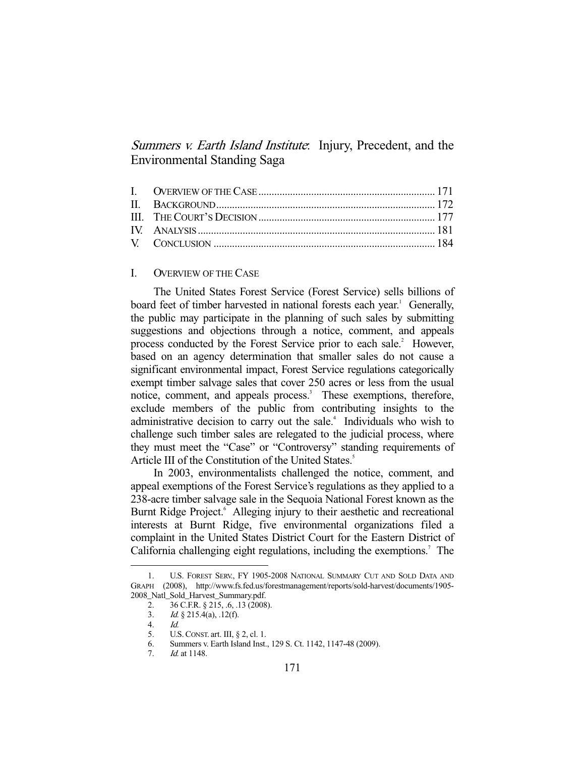Summers v. Earth Island Institute: Injury, Precedent, and the Environmental Standing Saga

# I. OVERVIEW OF THE CASE

 The United States Forest Service (Forest Service) sells billions of board feet of timber harvested in national forests each year.<sup>1</sup> Generally, the public may participate in the planning of such sales by submitting suggestions and objections through a notice, comment, and appeals process conducted by the Forest Service prior to each sale.<sup>2</sup> However, based on an agency determination that smaller sales do not cause a significant environmental impact, Forest Service regulations categorically exempt timber salvage sales that cover 250 acres or less from the usual notice, comment, and appeals process.<sup>3</sup> These exemptions, therefore, exclude members of the public from contributing insights to the administrative decision to carry out the sale.<sup>4</sup> Individuals who wish to challenge such timber sales are relegated to the judicial process, where they must meet the "Case" or "Controversy" standing requirements of Article III of the Constitution of the United States.<sup>5</sup>

 In 2003, environmentalists challenged the notice, comment, and appeal exemptions of the Forest Service's regulations as they applied to a 238-acre timber salvage sale in the Sequoia National Forest known as the Burnt Ridge Project.<sup>6</sup> Alleging injury to their aesthetic and recreational interests at Burnt Ridge, five environmental organizations filed a complaint in the United States District Court for the Eastern District of California challenging eight regulations, including the exemptions.<sup>7</sup> The

 <sup>1.</sup> U.S. FOREST SERV., FY 1905-2008 NATIONAL SUMMARY CUT AND SOLD DATA AND GRAPH (2008), http://www.fs.fed.us/forestmanagement/reports/sold-harvest/documents/1905- 2008\_Natl\_Sold\_Harvest\_Summary.pdf.

 <sup>2. 36</sup> C.F.R. § 215, .6, .13 (2008).

<sup>3.</sup> *Id.* § 215.4(a), .12(f).<br>4. *Id.* 

 <sup>4.</sup> Id.

 <sup>5.</sup> U.S.CONST. art. III, § 2, cl. 1.

 <sup>6.</sup> Summers v. Earth Island Inst., 129 S. Ct. 1142, 1147-48 (2009).

 <sup>7.</sup> Id. at 1148.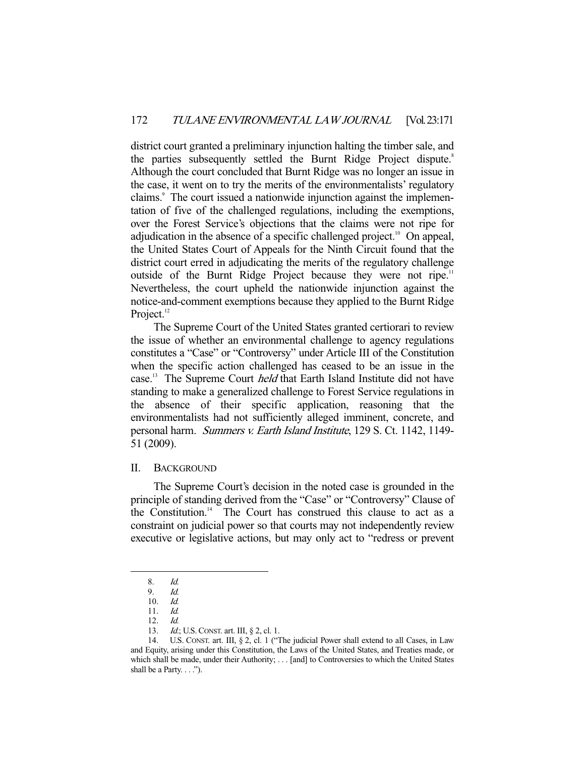district court granted a preliminary injunction halting the timber sale, and the parties subsequently settled the Burnt Ridge Project dispute.<sup>8</sup> Although the court concluded that Burnt Ridge was no longer an issue in the case, it went on to try the merits of the environmentalists' regulatory claims.<sup>9</sup> The court issued a nationwide injunction against the implementation of five of the challenged regulations, including the exemptions, over the Forest Service's objections that the claims were not ripe for adjudication in the absence of a specific challenged project.<sup>10</sup> On appeal, the United States Court of Appeals for the Ninth Circuit found that the district court erred in adjudicating the merits of the regulatory challenge outside of the Burnt Ridge Project because they were not ripe.<sup>11</sup> Nevertheless, the court upheld the nationwide injunction against the notice-and-comment exemptions because they applied to the Burnt Ridge Project.<sup>12</sup>

 The Supreme Court of the United States granted certiorari to review the issue of whether an environmental challenge to agency regulations constitutes a "Case" or "Controversy" under Article III of the Constitution when the specific action challenged has ceased to be an issue in the case.<sup>13</sup> The Supreme Court *held* that Earth Island Institute did not have standing to make a generalized challenge to Forest Service regulations in the absence of their specific application, reasoning that the environmentalists had not sufficiently alleged imminent, concrete, and personal harm. Summers v. Earth Island Institute, 129 S. Ct. 1142, 1149- 51 (2009).

### II. BACKGROUND

 The Supreme Court's decision in the noted case is grounded in the principle of standing derived from the "Case" or "Controversy" Clause of the Constitution.<sup>14</sup> The Court has construed this clause to act as a constraint on judicial power so that courts may not independently review executive or legislative actions, but may only act to "redress or prevent

 <sup>8.</sup> Id.

<sup>9.</sup>  $Id.$ <br>10.  $Id.$ 10. Id.

 <sup>11.</sup> Id.

 <sup>12.</sup> Id.

<sup>13.</sup> *Id.*; U.S. CONST. art. III, § 2, cl. 1.

 <sup>14.</sup> U.S. CONST. art. III, § 2, cl. 1 ("The judicial Power shall extend to all Cases, in Law and Equity, arising under this Constitution, the Laws of the United States, and Treaties made, or which shall be made, under their Authority; . . . [and] to Controversies to which the United States shall be a Party. . . .").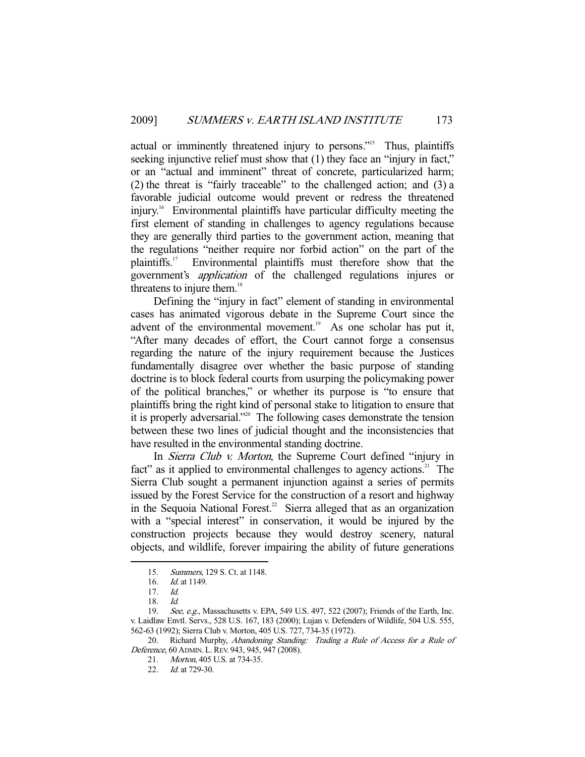actual or imminently threatened injury to persons."<sup>15</sup> Thus, plaintiffs seeking injunctive relief must show that (1) they face an "injury in fact," or an "actual and imminent" threat of concrete, particularized harm; (2) the threat is "fairly traceable" to the challenged action; and (3) a favorable judicial outcome would prevent or redress the threatened injury.16 Environmental plaintiffs have particular difficulty meeting the first element of standing in challenges to agency regulations because they are generally third parties to the government action, meaning that the regulations "neither require nor forbid action" on the part of the plaintiffs.17 Environmental plaintiffs must therefore show that the government's application of the challenged regulations injures or threatens to injure them.<sup>18</sup>

 Defining the "injury in fact" element of standing in environmental cases has animated vigorous debate in the Supreme Court since the advent of the environmental movement. $19$  As one scholar has put it, "After many decades of effort, the Court cannot forge a consensus regarding the nature of the injury requirement because the Justices fundamentally disagree over whether the basic purpose of standing doctrine is to block federal courts from usurping the policymaking power of the political branches," or whether its purpose is "to ensure that plaintiffs bring the right kind of personal stake to litigation to ensure that it is properly adversarial."20 The following cases demonstrate the tension between these two lines of judicial thought and the inconsistencies that have resulted in the environmental standing doctrine.

In *Sierra Club v. Morton*, the Supreme Court defined "injury in fact" as it applied to environmental challenges to agency actions.<sup>21</sup> The Sierra Club sought a permanent injunction against a series of permits issued by the Forest Service for the construction of a resort and highway in the Sequoia National Forest.<sup>22</sup> Sierra alleged that as an organization with a "special interest" in conservation, it would be injured by the construction projects because they would destroy scenery, natural objects, and wildlife, forever impairing the ability of future generations

 <sup>15.</sup> Summers, 129 S. Ct. at 1148.

<sup>16.</sup> *Id.* at 1149.

 <sup>17.</sup> Id.

 <sup>18.</sup> Id.

<sup>19.</sup> See, e.g., Massachusetts v. EPA, 549 U.S. 497, 522 (2007); Friends of the Earth, Inc. v. Laidlaw Envtl. Servs., 528 U.S. 167, 183 (2000); Lujan v. Defenders of Wildlife, 504 U.S. 555, 562-63 (1992); Sierra Club v. Morton, 405 U.S. 727, 734-35 (1972).

<sup>20.</sup> Richard Murphy, Abandoning Standing: Trading a Rule of Access for a Rule of Deference, 60 ADMIN. L.REV. 943, 945, 947 (2008).

 <sup>21.</sup> Morton, 405 U.S. at 734-35.

<sup>22.</sup> *Id.* at 729-30.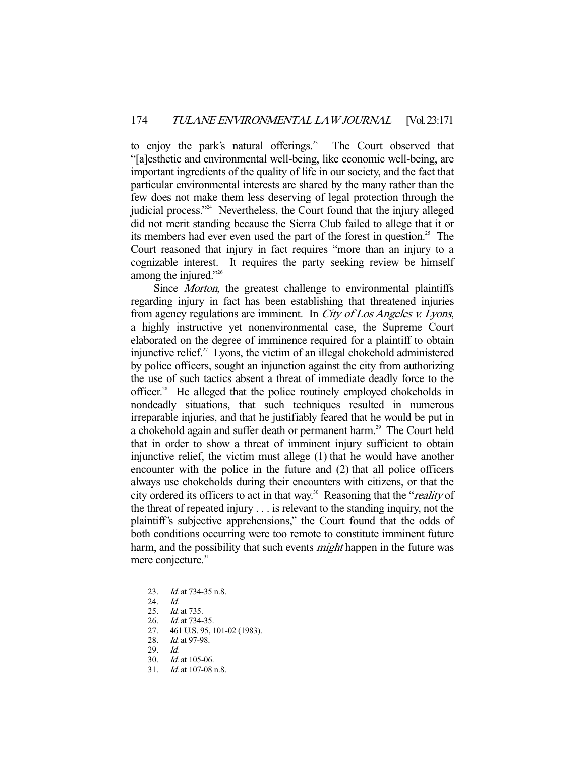to enjoy the park's natural offerings.<sup>23</sup> The Court observed that "[a]esthetic and environmental well-being, like economic well-being, are important ingredients of the quality of life in our society, and the fact that particular environmental interests are shared by the many rather than the few does not make them less deserving of legal protection through the judicial process."24 Nevertheless, the Court found that the injury alleged did not merit standing because the Sierra Club failed to allege that it or its members had ever even used the part of the forest in question.<sup>25</sup> The Court reasoned that injury in fact requires "more than an injury to a cognizable interest. It requires the party seeking review be himself among the injured."26

Since *Morton*, the greatest challenge to environmental plaintiffs regarding injury in fact has been establishing that threatened injuries from agency regulations are imminent. In City of Los Angeles v. Lyons, a highly instructive yet nonenvironmental case, the Supreme Court elaborated on the degree of imminence required for a plaintiff to obtain injunctive relief. $2^7$  Lyons, the victim of an illegal chokehold administered by police officers, sought an injunction against the city from authorizing the use of such tactics absent a threat of immediate deadly force to the officer.<sup>28</sup> He alleged that the police routinely employed chokeholds in nondeadly situations, that such techniques resulted in numerous irreparable injuries, and that he justifiably feared that he would be put in a chokehold again and suffer death or permanent harm.<sup>29</sup> The Court held that in order to show a threat of imminent injury sufficient to obtain injunctive relief, the victim must allege (1) that he would have another encounter with the police in the future and (2) that all police officers always use chokeholds during their encounters with citizens, or that the city ordered its officers to act in that way.<sup>30</sup> Reasoning that the "*reality* of the threat of repeated injury . . . is relevant to the standing inquiry, not the plaintiff's subjective apprehensions," the Court found that the odds of both conditions occurring were too remote to constitute imminent future harm, and the possibility that such events *might* happen in the future was mere conjecture.<sup>31</sup>

<sup>23.</sup> *Id.* at 734-35 n.8.

<sup>24.</sup> *Id.*<br>25. *Id.* 

*Id.* at 735.

<sup>26.</sup> *Id.* at 734-35.

 <sup>27. 461</sup> U.S. 95, 101-02 (1983).

<sup>28.</sup> *Id.* at 97-98.

 <sup>29.</sup> Id.

 <sup>30.</sup> Id. at 105-06.

 <sup>31.</sup> Id. at 107-08 n.8.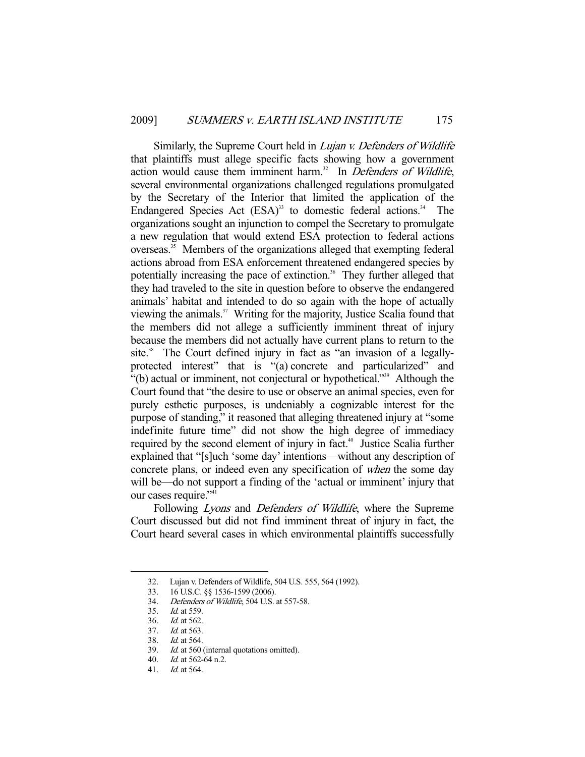Similarly, the Supreme Court held in *Lujan v. Defenders of Wildlife* that plaintiffs must allege specific facts showing how a government action would cause them imminent harm. $32$  In Defenders of Wildlife, several environmental organizations challenged regulations promulgated by the Secretary of the Interior that limited the application of the Endangered Species Act  $(ESA)^3$  to domestic federal actions.<sup>34</sup> The organizations sought an injunction to compel the Secretary to promulgate a new regulation that would extend ESA protection to federal actions  $overseas.<sup>35</sup>$  Members of the organizations alleged that exempting federal actions abroad from ESA enforcement threatened endangered species by potentially increasing the pace of extinction.<sup>36</sup> They further alleged that they had traveled to the site in question before to observe the endangered animals' habitat and intended to do so again with the hope of actually viewing the animals.37 Writing for the majority, Justice Scalia found that the members did not allege a sufficiently imminent threat of injury because the members did not actually have current plans to return to the site.<sup>38</sup> The Court defined injury in fact as "an invasion of a legallyprotected interest" that is "(a) concrete and particularized" and "(b) actual or imminent, not conjectural or hypothetical."39 Although the Court found that "the desire to use or observe an animal species, even for purely esthetic purposes, is undeniably a cognizable interest for the purpose of standing," it reasoned that alleging threatened injury at "some indefinite future time" did not show the high degree of immediacy required by the second element of injury in fact.<sup>40</sup> Justice Scalia further explained that "[s]uch 'some day' intentions—without any description of concrete plans, or indeed even any specification of when the some day will be—do not support a finding of the 'actual or imminent' injury that our cases require."<sup>41</sup>

Following Lyons and Defenders of Wildlife, where the Supreme Court discussed but did not find imminent threat of injury in fact, the Court heard several cases in which environmental plaintiffs successfully

 <sup>32.</sup> Lujan v. Defenders of Wildlife, 504 U.S. 555, 564 (1992).

 <sup>33. 16</sup> U.S.C. §§ 1536-1599 (2006).

 <sup>34.</sup> Defenders of Wildlife, 504 U.S. at 557-58.

 <sup>35.</sup> Id. at 559.

 <sup>36.</sup> Id. at 562.

 <sup>37.</sup> Id. at 563.

 <sup>38.</sup> Id. at 564.

 <sup>39.</sup> Id. at 560 (internal quotations omitted).

 <sup>40.</sup> Id. at 562-64 n.2.

 <sup>41.</sup> Id. at 564.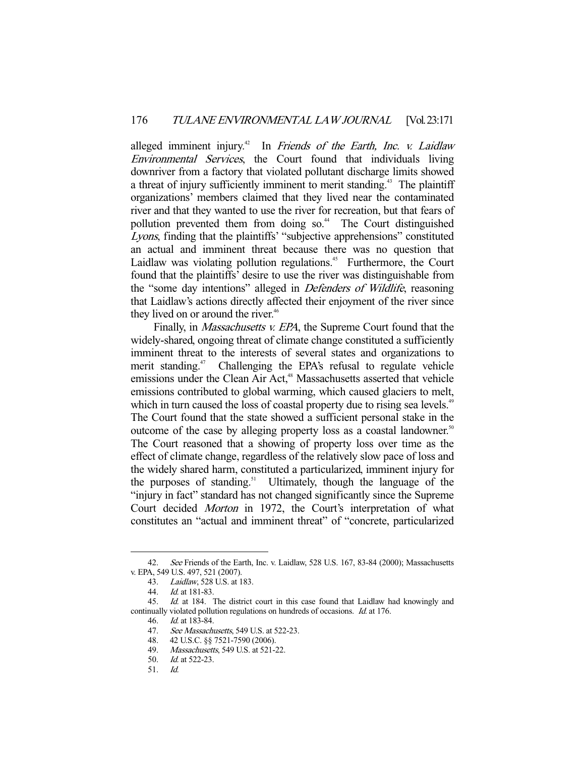alleged imminent injury.<sup>42</sup> In Friends of the Earth, Inc. v. Laidlaw Environmental Services, the Court found that individuals living downriver from a factory that violated pollutant discharge limits showed a threat of injury sufficiently imminent to merit standing.<sup>43</sup> The plaintiff organizations' members claimed that they lived near the contaminated river and that they wanted to use the river for recreation, but that fears of pollution prevented them from doing so.<sup>44</sup> The Court distinguished Lyons, finding that the plaintiffs' "subjective apprehensions" constituted an actual and imminent threat because there was no question that Laidlaw was violating pollution regulations.<sup>45</sup> Furthermore, the Court found that the plaintiffs' desire to use the river was distinguishable from the "some day intentions" alleged in *Defenders of Wildlife*, reasoning that Laidlaw's actions directly affected their enjoyment of the river since they lived on or around the river.<sup>46</sup>

Finally, in *Massachusetts v. EPA*, the Supreme Court found that the widely-shared, ongoing threat of climate change constituted a sufficiently imminent threat to the interests of several states and organizations to merit standing.<sup>47</sup> Challenging the EPA's refusal to regulate vehicle emissions under the Clean Air Act,<sup>48</sup> Massachusetts asserted that vehicle emissions contributed to global warming, which caused glaciers to melt, which in turn caused the loss of coastal property due to rising sea levels.<sup>49</sup> The Court found that the state showed a sufficient personal stake in the outcome of the case by alleging property loss as a coastal landowner.<sup>50</sup> The Court reasoned that a showing of property loss over time as the effect of climate change, regardless of the relatively slow pace of loss and the widely shared harm, constituted a particularized, imminent injury for the purposes of standing.<sup>51</sup> Ultimately, though the language of the "injury in fact" standard has not changed significantly since the Supreme Court decided Morton in 1972, the Court's interpretation of what constitutes an "actual and imminent threat" of "concrete, particularized

<sup>42.</sup> See Friends of the Earth, Inc. v. Laidlaw, 528 U.S. 167, 83-84 (2000); Massachusetts v. EPA, 549 U.S. 497, 521 (2007).

 <sup>43.</sup> Laidlaw, 528 U.S. at 183.

 <sup>44.</sup> Id. at 181-83.

 <sup>45.</sup> Id. at 184. The district court in this case found that Laidlaw had knowingly and continually violated pollution regulations on hundreds of occasions. Id. at 176.

 <sup>46.</sup> Id. at 183-84.

<sup>47.</sup> *See Massachusetts*, 549 U.S. at 522-23.

 <sup>48. 42</sup> U.S.C. §§ 7521-7590 (2006).

<sup>49.</sup> Massachusetts, 549 U.S. at 521-22.

 <sup>50.</sup> Id. at 522-23.

 <sup>51.</sup> Id.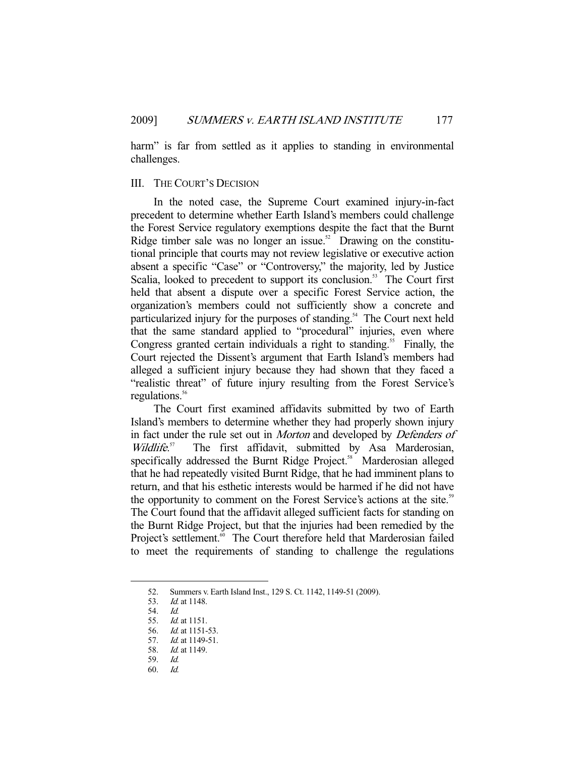harm" is far from settled as it applies to standing in environmental challenges.

## III. THE COURT'S DECISION

 In the noted case, the Supreme Court examined injury-in-fact precedent to determine whether Earth Island's members could challenge the Forest Service regulatory exemptions despite the fact that the Burnt Ridge timber sale was no longer an issue.<sup>52</sup> Drawing on the constitutional principle that courts may not review legislative or executive action absent a specific "Case" or "Controversy," the majority, led by Justice Scalia, looked to precedent to support its conclusion.<sup>53</sup> The Court first held that absent a dispute over a specific Forest Service action, the organization's members could not sufficiently show a concrete and particularized injury for the purposes of standing.<sup>54</sup> The Court next held that the same standard applied to "procedural" injuries, even where Congress granted certain individuals a right to standing.<sup>55</sup> Finally, the Court rejected the Dissent's argument that Earth Island's members had alleged a sufficient injury because they had shown that they faced a "realistic threat" of future injury resulting from the Forest Service's regulations.<sup>56</sup>

 The Court first examined affidavits submitted by two of Earth Island's members to determine whether they had properly shown injury in fact under the rule set out in *Morton* and developed by *Defenders of* Wildlife.<sup>57</sup> The first affidavit, submitted by Asa Marderosian, specifically addressed the Burnt Ridge Project.<sup>58</sup> Marderosian alleged that he had repeatedly visited Burnt Ridge, that he had imminent plans to return, and that his esthetic interests would be harmed if he did not have the opportunity to comment on the Forest Service's actions at the site.<sup>59</sup> The Court found that the affidavit alleged sufficient facts for standing on the Burnt Ridge Project, but that the injuries had been remedied by the Project's settlement.<sup>60</sup> The Court therefore held that Marderosian failed to meet the requirements of standing to challenge the regulations

<sup>52.</sup> Summers v. Earth Island Inst., 129 S. Ct. 1142, 1149-51 (2009).<br>53. Id. at 1148.

Id. at 1148.

 <sup>54.</sup> Id.

 <sup>55.</sup> Id. at 1151.

<sup>56.</sup> *Id.* at 1151-53.

 <sup>57.</sup> Id. at 1149-51.

 <sup>58.</sup> Id. at 1149.

 <sup>59.</sup> Id.

 <sup>60.</sup> Id.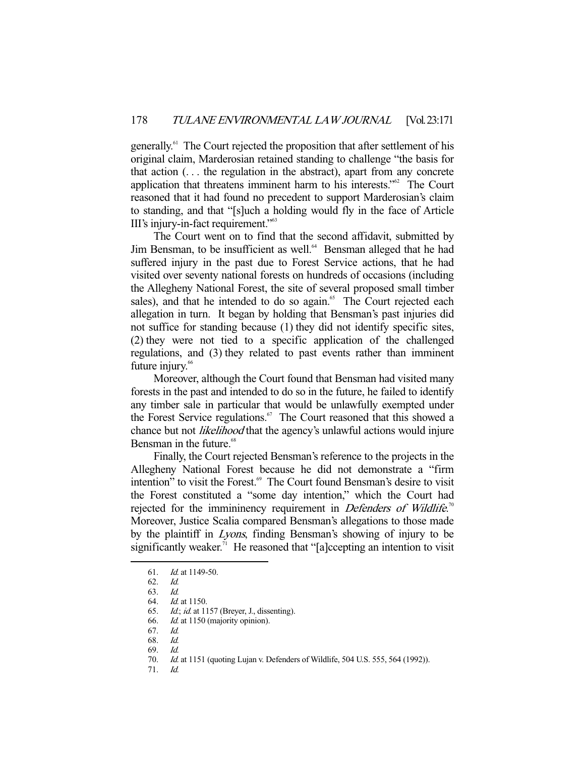generally.61 The Court rejected the proposition that after settlement of his original claim, Marderosian retained standing to challenge "the basis for that action (. . . the regulation in the abstract), apart from any concrete application that threatens imminent harm to his interests."62 The Court reasoned that it had found no precedent to support Marderosian's claim to standing, and that "[s]uch a holding would fly in the face of Article III's injury-in-fact requirement."63

 The Court went on to find that the second affidavit, submitted by Jim Bensman, to be insufficient as well.<sup>64</sup> Bensman alleged that he had suffered injury in the past due to Forest Service actions, that he had visited over seventy national forests on hundreds of occasions (including the Allegheny National Forest, the site of several proposed small timber sales), and that he intended to do so again.<sup>65</sup> The Court rejected each allegation in turn. It began by holding that Bensman's past injuries did not suffice for standing because (1) they did not identify specific sites, (2) they were not tied to a specific application of the challenged regulations, and (3) they related to past events rather than imminent future injury.<sup>66</sup>

 Moreover, although the Court found that Bensman had visited many forests in the past and intended to do so in the future, he failed to identify any timber sale in particular that would be unlawfully exempted under the Forest Service regulations.<sup>67</sup> The Court reasoned that this showed a chance but not *likelihood* that the agency's unlawful actions would injure Bensman in the future.<sup>68</sup>

 Finally, the Court rejected Bensman's reference to the projects in the Allegheny National Forest because he did not demonstrate a "firm intention" to visit the Forest.<sup>69</sup> The Court found Bensman's desire to visit the Forest constituted a "some day intention," which the Court had rejected for the immininency requirement in *Defenders of Wildlife*.<sup>70</sup> Moreover, Justice Scalia compared Bensman's allegations to those made by the plaintiff in Lyons, finding Bensman's showing of injury to be significantly weaker.<sup>71</sup> He reasoned that "[a]ccepting an intention to visit

 <sup>61.</sup> Id. at 1149-50.

 <sup>62.</sup> Id.

 <sup>63.</sup> Id.

 <sup>64.</sup> Id. at 1150.

 <sup>65.</sup> Id.; id. at 1157 (Breyer, J., dissenting).

 <sup>66.</sup> Id. at 1150 (majority opinion).

 <sup>67.</sup> Id.

 <sup>68.</sup> Id.

 <sup>69.</sup> Id.

 <sup>70.</sup> Id. at 1151 (quoting Lujan v. Defenders of Wildlife, 504 U.S. 555, 564 (1992)).

 <sup>71.</sup> Id.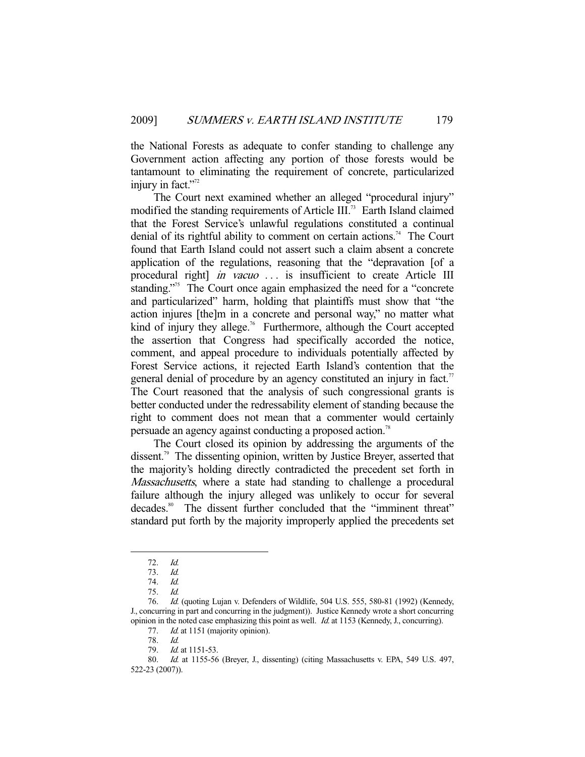the National Forests as adequate to confer standing to challenge any Government action affecting any portion of those forests would be tantamount to eliminating the requirement of concrete, particularized injury in fact."<sup>72</sup>

 The Court next examined whether an alleged "procedural injury" modified the standing requirements of Article III.<sup>73</sup> Earth Island claimed that the Forest Service's unlawful regulations constituted a continual denial of its rightful ability to comment on certain actions.<sup>74</sup> The Court found that Earth Island could not assert such a claim absent a concrete application of the regulations, reasoning that the "depravation [of a procedural right] in vacuo ... is insufficient to create Article III standing."<sup>75</sup> The Court once again emphasized the need for a "concrete" and particularized" harm, holding that plaintiffs must show that "the action injures [the]m in a concrete and personal way," no matter what kind of injury they allege.<sup>76</sup> Furthermore, although the Court accepted the assertion that Congress had specifically accorded the notice, comment, and appeal procedure to individuals potentially affected by Forest Service actions, it rejected Earth Island's contention that the general denial of procedure by an agency constituted an injury in fact.<sup>77</sup> The Court reasoned that the analysis of such congressional grants is better conducted under the redressability element of standing because the right to comment does not mean that a commenter would certainly persuade an agency against conducting a proposed action.<sup>78</sup>

 The Court closed its opinion by addressing the arguments of the dissent.<sup>79</sup> The dissenting opinion, written by Justice Breyer, asserted that the majority's holding directly contradicted the precedent set forth in Massachusetts, where a state had standing to challenge a procedural failure although the injury alleged was unlikely to occur for several decades.<sup>80</sup> The dissent further concluded that the "imminent threat" standard put forth by the majority improperly applied the precedents set

 <sup>72.</sup> Id.

<sup>73.</sup> *Id.*<br>74. *Id.* 

<sup>74.</sup> 

 <sup>75.</sup> Id.

Id. (quoting Lujan v. Defenders of Wildlife, 504 U.S. 555, 580-81 (1992) (Kennedy, J., concurring in part and concurring in the judgment)). Justice Kennedy wrote a short concurring opinion in the noted case emphasizing this point as well. Id. at 1153 (Kennedy, J., concurring).

<sup>77.</sup> *Id.* at 1151 (majority opinion).

 <sup>78.</sup> Id.

<sup>79.</sup> *Id.* at 1151-53.

 <sup>80.</sup> Id. at 1155-56 (Breyer, J., dissenting) (citing Massachusetts v. EPA, 549 U.S. 497, 522-23 (2007)).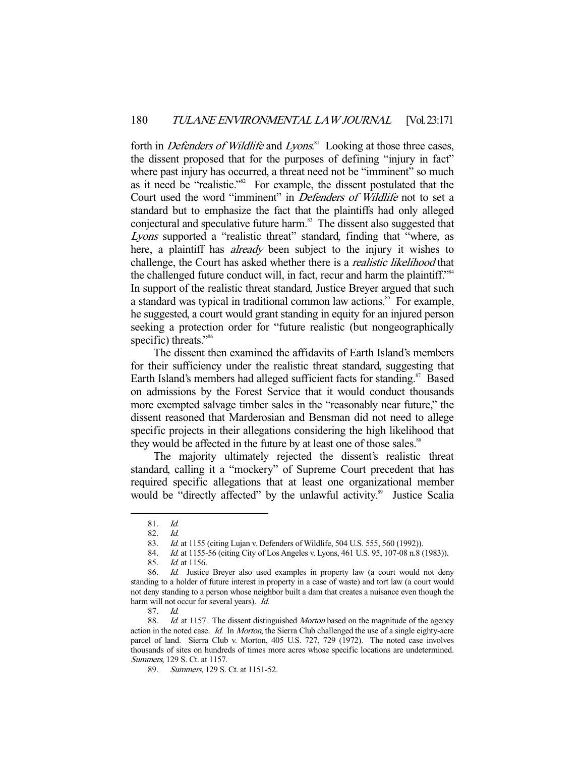forth in *Defenders of Wildlife* and *Lyons*.<sup>81</sup> Looking at those three cases, the dissent proposed that for the purposes of defining "injury in fact" where past injury has occurred, a threat need not be "imminent" so much as it need be "realistic."82 For example, the dissent postulated that the Court used the word "imminent" in Defenders of Wildlife not to set a standard but to emphasize the fact that the plaintiffs had only alleged conjectural and speculative future harm.<sup>83</sup> The dissent also suggested that Lyons supported a "realistic threat" standard, finding that "where, as here, a plaintiff has *already* been subject to the injury it wishes to challenge, the Court has asked whether there is a realistic likelihood that the challenged future conduct will, in fact, recur and harm the plaintiff."<sup>84</sup> In support of the realistic threat standard, Justice Breyer argued that such a standard was typical in traditional common law actions.<sup>85</sup> For example, he suggested, a court would grant standing in equity for an injured person seeking a protection order for "future realistic (but nongeographically specific) threats."<sup>86</sup>

 The dissent then examined the affidavits of Earth Island's members for their sufficiency under the realistic threat standard, suggesting that Earth Island's members had alleged sufficient facts for standing.<sup>87</sup> Based on admissions by the Forest Service that it would conduct thousands more exempted salvage timber sales in the "reasonably near future," the dissent reasoned that Marderosian and Bensman did not need to allege specific projects in their allegations considering the high likelihood that they would be affected in the future by at least one of those sales.<sup>88</sup>

 The majority ultimately rejected the dissent's realistic threat standard, calling it a "mockery" of Supreme Court precedent that has required specific allegations that at least one organizational member would be "directly affected" by the unlawful activity.<sup>89</sup> Justice Scalia

 <sup>81.</sup> Id.

 <sup>82.</sup> Id.

 <sup>83.</sup> Id. at 1155 (citing Lujan v. Defenders of Wildlife, 504 U.S. 555, 560 (1992)).

<sup>84.</sup> *Id.* at 1155-56 (citing City of Los Angeles v. Lyons, 461 U.S. 95, 107-08 n.8 (1983)).

 <sup>85.</sup> Id. at 1156.

<sup>86.</sup> Id. Justice Breyer also used examples in property law (a court would not deny standing to a holder of future interest in property in a case of waste) and tort law (a court would not deny standing to a person whose neighbor built a dam that creates a nuisance even though the harm will not occur for several years). *Id.* 

 <sup>87.</sup> Id.

<sup>88.</sup> *Id.* at 1157. The dissent distinguished *Morton* based on the magnitude of the agency action in the noted case. Id. In Morton, the Sierra Club challenged the use of a single eighty-acre parcel of land. Sierra Club v. Morton, 405 U.S. 727, 729 (1972). The noted case involves thousands of sites on hundreds of times more acres whose specific locations are undetermined. Summers, 129 S. Ct. at 1157.

<sup>89.</sup> Summers, 129 S. Ct. at 1151-52.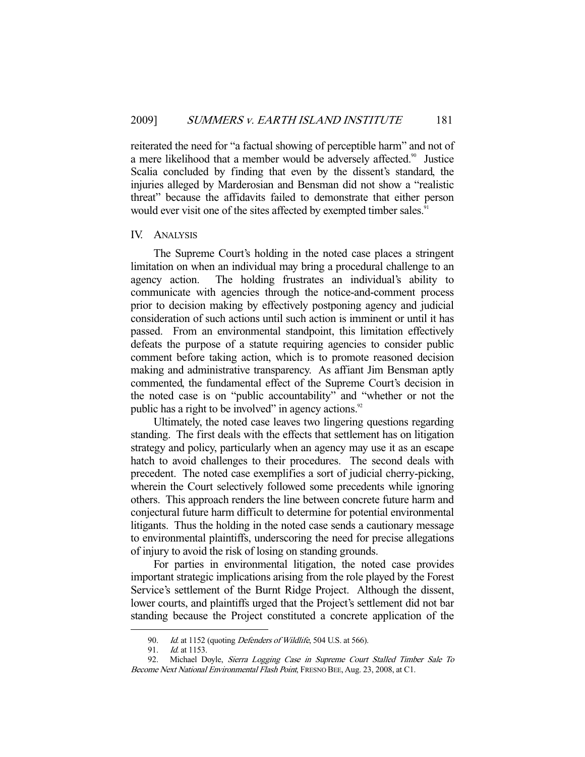reiterated the need for "a factual showing of perceptible harm" and not of a mere likelihood that a member would be adversely affected.<sup>90</sup> Justice Scalia concluded by finding that even by the dissent's standard, the injuries alleged by Marderosian and Bensman did not show a "realistic threat" because the affidavits failed to demonstrate that either person would ever visit one of the sites affected by exempted timber sales.<sup>91</sup>

#### IV. ANALYSIS

 The Supreme Court's holding in the noted case places a stringent limitation on when an individual may bring a procedural challenge to an agency action. The holding frustrates an individual's ability to communicate with agencies through the notice-and-comment process prior to decision making by effectively postponing agency and judicial consideration of such actions until such action is imminent or until it has passed. From an environmental standpoint, this limitation effectively defeats the purpose of a statute requiring agencies to consider public comment before taking action, which is to promote reasoned decision making and administrative transparency. As affiant Jim Bensman aptly commented, the fundamental effect of the Supreme Court's decision in the noted case is on "public accountability" and "whether or not the public has a right to be involved" in agency actions.<sup>92</sup>

 Ultimately, the noted case leaves two lingering questions regarding standing. The first deals with the effects that settlement has on litigation strategy and policy, particularly when an agency may use it as an escape hatch to avoid challenges to their procedures. The second deals with precedent. The noted case exemplifies a sort of judicial cherry-picking, wherein the Court selectively followed some precedents while ignoring others. This approach renders the line between concrete future harm and conjectural future harm difficult to determine for potential environmental litigants. Thus the holding in the noted case sends a cautionary message to environmental plaintiffs, underscoring the need for precise allegations of injury to avoid the risk of losing on standing grounds.

 For parties in environmental litigation, the noted case provides important strategic implications arising from the role played by the Forest Service's settlement of the Burnt Ridge Project. Although the dissent, lower courts, and plaintiffs urged that the Project's settlement did not bar standing because the Project constituted a concrete application of the

<sup>90.</sup> Id. at 1152 (quoting *Defenders of Wildlife*, 504 U.S. at 566).<br>91. Id. at 1153.

*Id.* at 1153.

 <sup>92.</sup> Michael Doyle, Sierra Logging Case in Supreme Court Stalled Timber Sale To Become Next National Environmental Flash Point, FRESNO BEE, Aug. 23, 2008, at C1.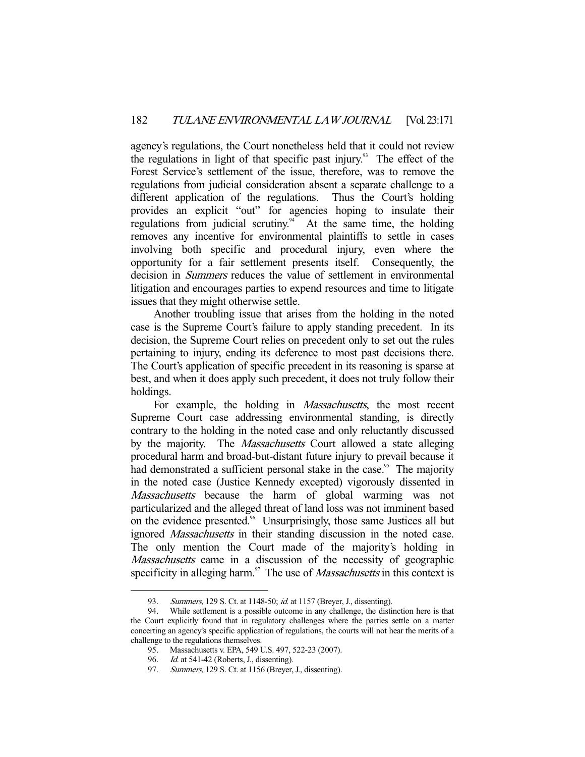agency's regulations, the Court nonetheless held that it could not review the regulations in light of that specific past injury.<sup>93</sup> The effect of the Forest Service's settlement of the issue, therefore, was to remove the regulations from judicial consideration absent a separate challenge to a different application of the regulations. Thus the Court's holding provides an explicit "out" for agencies hoping to insulate their regulations from judicial scrutiny.<sup>94</sup> At the same time, the holding removes any incentive for environmental plaintiffs to settle in cases involving both specific and procedural injury, even where the opportunity for a fair settlement presents itself. Consequently, the decision in Summers reduces the value of settlement in environmental litigation and encourages parties to expend resources and time to litigate issues that they might otherwise settle.

 Another troubling issue that arises from the holding in the noted case is the Supreme Court's failure to apply standing precedent. In its decision, the Supreme Court relies on precedent only to set out the rules pertaining to injury, ending its deference to most past decisions there. The Court's application of specific precedent in its reasoning is sparse at best, and when it does apply such precedent, it does not truly follow their holdings.

For example, the holding in *Massachusetts*, the most recent Supreme Court case addressing environmental standing, is directly contrary to the holding in the noted case and only reluctantly discussed by the majority. The *Massachusetts* Court allowed a state alleging procedural harm and broad-but-distant future injury to prevail because it had demonstrated a sufficient personal stake in the case.<sup>95</sup> The majority in the noted case (Justice Kennedy excepted) vigorously dissented in Massachusetts because the harm of global warming was not particularized and the alleged threat of land loss was not imminent based on the evidence presented.<sup>96</sup> Unsurprisingly, those same Justices all but ignored Massachusetts in their standing discussion in the noted case. The only mention the Court made of the majority's holding in Massachusetts came in a discussion of the necessity of geographic specificity in alleging harm.<sup>97</sup> The use of *Massachusetts* in this context is

<sup>93.</sup> Summers, 129 S. Ct. at 1148-50; *id.* at 1157 (Breyer, J., dissenting).

 <sup>94.</sup> While settlement is a possible outcome in any challenge, the distinction here is that the Court explicitly found that in regulatory challenges where the parties settle on a matter concerting an agency's specific application of regulations, the courts will not hear the merits of a challenge to the regulations themselves.

 <sup>95.</sup> Massachusetts v. EPA, 549 U.S. 497, 522-23 (2007).

<sup>96.</sup> *Id.* at 541-42 (Roberts, J., dissenting).

 <sup>97.</sup> Summers, 129 S. Ct. at 1156 (Breyer, J., dissenting).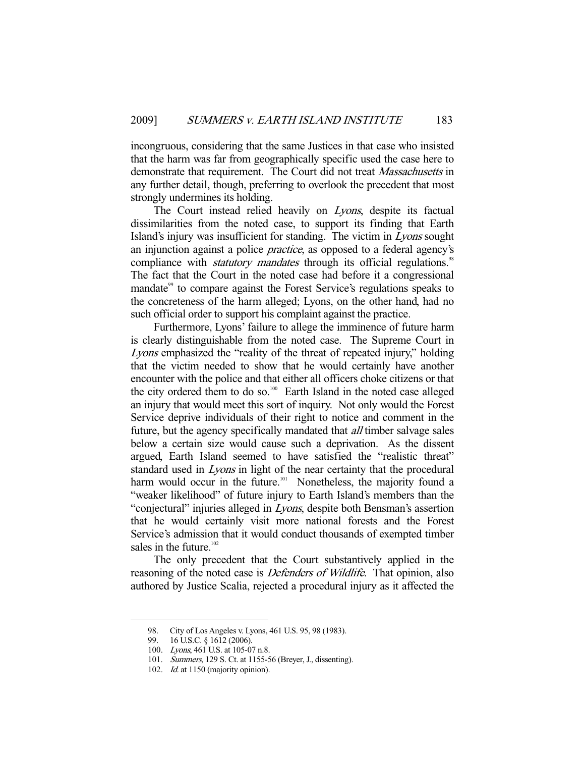incongruous, considering that the same Justices in that case who insisted that the harm was far from geographically specific used the case here to demonstrate that requirement. The Court did not treat Massachusetts in any further detail, though, preferring to overlook the precedent that most strongly undermines its holding.

The Court instead relied heavily on *Lyons*, despite its factual dissimilarities from the noted case, to support its finding that Earth Island's injury was insufficient for standing. The victim in Lyons sought an injunction against a police practice, as opposed to a federal agency's compliance with *statutory mandates* through its official regulations.<sup>98</sup> The fact that the Court in the noted case had before it a congressional mandate<sup>99</sup> to compare against the Forest Service's regulations speaks to the concreteness of the harm alleged; Lyons, on the other hand, had no such official order to support his complaint against the practice.

 Furthermore, Lyons' failure to allege the imminence of future harm is clearly distinguishable from the noted case. The Supreme Court in Lyons emphasized the "reality of the threat of repeated injury," holding that the victim needed to show that he would certainly have another encounter with the police and that either all officers choke citizens or that the city ordered them to do so.<sup>100</sup> Earth Island in the noted case alleged an injury that would meet this sort of inquiry. Not only would the Forest Service deprive individuals of their right to notice and comment in the future, but the agency specifically mandated that *all* timber salvage sales below a certain size would cause such a deprivation. As the dissent argued, Earth Island seemed to have satisfied the "realistic threat" standard used in Lyons in light of the near certainty that the procedural harm would occur in the future.<sup>101</sup> Nonetheless, the majority found a "weaker likelihood" of future injury to Earth Island's members than the "conjectural" injuries alleged in Lyons, despite both Bensman's assertion that he would certainly visit more national forests and the Forest Service's admission that it would conduct thousands of exempted timber sales in the future. $102$ 

 The only precedent that the Court substantively applied in the reasoning of the noted case is *Defenders of Wildlife*. That opinion, also authored by Justice Scalia, rejected a procedural injury as it affected the

 <sup>98.</sup> City of Los Angeles v. Lyons, 461 U.S. 95, 98 (1983).

 <sup>99. 16</sup> U.S.C. § 1612 (2006).

 <sup>100.</sup> Lyons, 461 U.S. at 105-07 n.8.

 <sup>101.</sup> Summers, 129 S. Ct. at 1155-56 (Breyer, J., dissenting).

<sup>102.</sup> *Id.* at 1150 (majority opinion).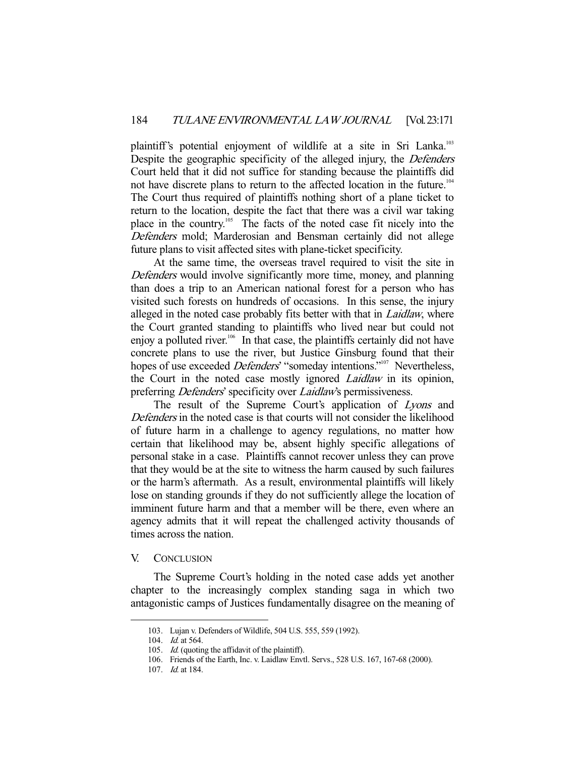plaintiff's potential enjoyment of wildlife at a site in Sri Lanka.<sup>103</sup> Despite the geographic specificity of the alleged injury, the *Defenders* Court held that it did not suffice for standing because the plaintiffs did not have discrete plans to return to the affected location in the future.<sup>104</sup> The Court thus required of plaintiffs nothing short of a plane ticket to return to the location, despite the fact that there was a civil war taking place in the country.105 The facts of the noted case fit nicely into the Defenders mold; Marderosian and Bensman certainly did not allege future plans to visit affected sites with plane-ticket specificity.

 At the same time, the overseas travel required to visit the site in Defenders would involve significantly more time, money, and planning than does a trip to an American national forest for a person who has visited such forests on hundreds of occasions. In this sense, the injury alleged in the noted case probably fits better with that in *Laidlaw*, where the Court granted standing to plaintiffs who lived near but could not enjoy a polluted river.<sup>106</sup> In that case, the plaintiffs certainly did not have concrete plans to use the river, but Justice Ginsburg found that their hopes of use exceeded *Defenders'* "someday intentions."<sup>107</sup> Nevertheless, the Court in the noted case mostly ignored *Laidlaw* in its opinion, preferring *Defenders'* specificity over *Laidlaw's* permissiveness.

The result of the Supreme Court's application of Lyons and Defenders in the noted case is that courts will not consider the likelihood of future harm in a challenge to agency regulations, no matter how certain that likelihood may be, absent highly specific allegations of personal stake in a case. Plaintiffs cannot recover unless they can prove that they would be at the site to witness the harm caused by such failures or the harm's aftermath. As a result, environmental plaintiffs will likely lose on standing grounds if they do not sufficiently allege the location of imminent future harm and that a member will be there, even where an agency admits that it will repeat the challenged activity thousands of times across the nation.

#### V. CONCLUSION

 The Supreme Court's holding in the noted case adds yet another chapter to the increasingly complex standing saga in which two antagonistic camps of Justices fundamentally disagree on the meaning of

 <sup>103.</sup> Lujan v. Defenders of Wildlife, 504 U.S. 555, 559 (1992).

<sup>104.</sup> *Id.* at 564.

<sup>105.</sup> *Id.* (quoting the affidavit of the plaintiff).

 <sup>106.</sup> Friends of the Earth, Inc. v. Laidlaw Envtl. Servs., 528 U.S. 167, 167-68 (2000).

 <sup>107.</sup> Id. at 184.